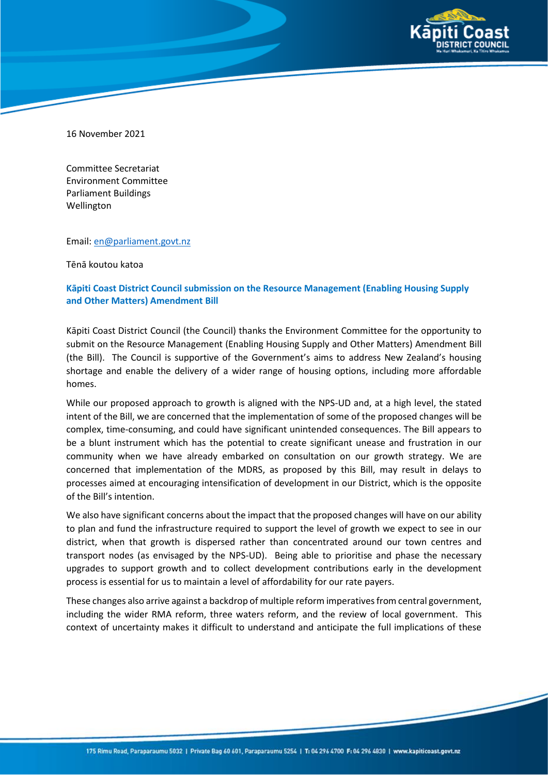

16 November 2021

Committee Secretariat Environment Committee Parliament Buildings Wellington

Email: [en@parliament.govt.nz](mailto:en@parliament.govt.nz)

Tēnā koutou katoa

#### **Kāpiti Coast District Council submission on the Resource Management (Enabling Housing Supply and Other Matters) Amendment Bill**

Kāpiti Coast District Council (the Council) thanks the Environment Committee for the opportunity to submit on the Resource Management (Enabling Housing Supply and Other Matters) Amendment Bill (the Bill). The Council is supportive of the Government's aims to address New Zealand's housing shortage and enable the delivery of a wider range of housing options, including more affordable homes.

While our proposed approach to growth is aligned with the NPS-UD and, at a high level, the stated intent of the Bill, we are concerned that the implementation of some of the proposed changes will be complex, time-consuming, and could have significant unintended consequences. The Bill appears to be a blunt instrument which has the potential to create significant unease and frustration in our community when we have already embarked on consultation on our growth strategy. We are concerned that implementation of the MDRS, as proposed by this Bill, may result in delays to processes aimed at encouraging intensification of development in our District, which is the opposite of the Bill's intention.

We also have significant concerns about the impact that the proposed changes will have on our ability to plan and fund the infrastructure required to support the level of growth we expect to see in our district, when that growth is dispersed rather than concentrated around our town centres and transport nodes (as envisaged by the NPS-UD). Being able to prioritise and phase the necessary upgrades to support growth and to collect development contributions early in the development process is essential for us to maintain a level of affordability for our rate payers.

These changes also arrive against a backdrop of multiple reform imperatives from central government, including the wider RMA reform, three waters reform, and the review of local government. This context of uncertainty makes it difficult to understand and anticipate the full implications of these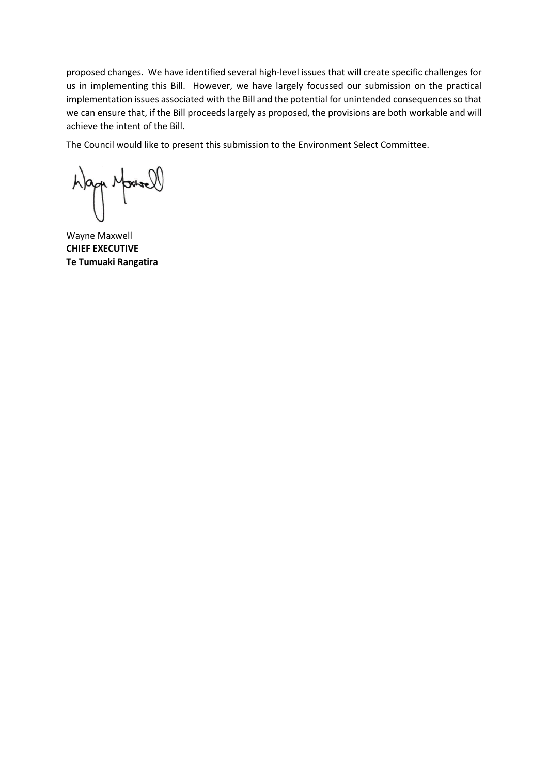proposed changes. We have identified several high-level issues that will create specific challenges for us in implementing this Bill. However, we have largely focussed our submission on the practical implementation issues associated with the Bill and the potential for unintended consequences so that we can ensure that, if the Bill proceeds largely as proposed, the provisions are both workable and will achieve the intent of the Bill.

The Council would like to present this submission to the Environment Select Committee.

h)app Morrell

Wayne Maxwell **CHIEF EXECUTIVE Te Tumuaki Rangatira**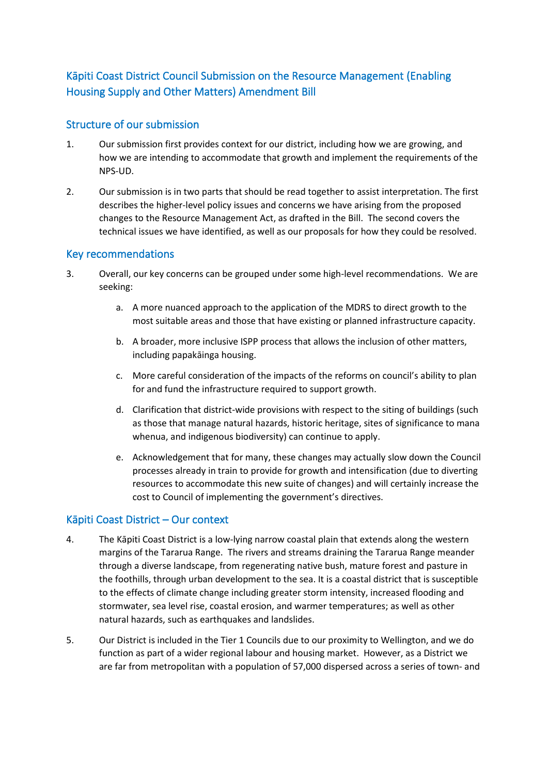# Kāpiti Coast District Council Submission on the Resource Management (Enabling Housing Supply and Other Matters) Amendment Bill

# Structure of our submission

- 1. Our submission first provides context for our district, including how we are growing, and how we are intending to accommodate that growth and implement the requirements of the NPS-UD.
- 2. Our submission is in two parts that should be read together to assist interpretation. The first describes the higher-level policy issues and concerns we have arising from the proposed changes to the Resource Management Act, as drafted in the Bill. The second covers the technical issues we have identified, as well as our proposals for how they could be resolved.

# Key recommendations

- 3. Overall, our key concerns can be grouped under some high-level recommendations. We are seeking:
	- a. A more nuanced approach to the application of the MDRS to direct growth to the most suitable areas and those that have existing or planned infrastructure capacity.
	- b. A broader, more inclusive ISPP process that allows the inclusion of other matters, including papakāinga housing.
	- c. More careful consideration of the impacts of the reforms on council's ability to plan for and fund the infrastructure required to support growth.
	- d. Clarification that district-wide provisions with respect to the siting of buildings (such as those that manage natural hazards, historic heritage, sites of significance to mana whenua, and indigenous biodiversity) can continue to apply.
	- e. Acknowledgement that for many, these changes may actually slow down the Council processes already in train to provide for growth and intensification (due to diverting resources to accommodate this new suite of changes) and will certainly increase the cost to Council of implementing the government's directives.

#### Kāpiti Coast District – Our context

- 4. The Kāpiti Coast District is a low-lying narrow coastal plain that extends along the western margins of the Tararua Range. The rivers and streams draining the Tararua Range meander through a diverse landscape, from regenerating native bush, mature forest and pasture in the foothills, through urban development to the sea. It is a coastal district that is susceptible to the effects of climate change including greater storm intensity, increased flooding and stormwater, sea level rise, coastal erosion, and warmer temperatures; as well as other natural hazards, such as earthquakes and landslides.
- 5. Our District is included in the Tier 1 Councils due to our proximity to Wellington, and we do function as part of a wider regional labour and housing market. However, as a District we are far from metropolitan with a population of 57,000 dispersed across a series of town- and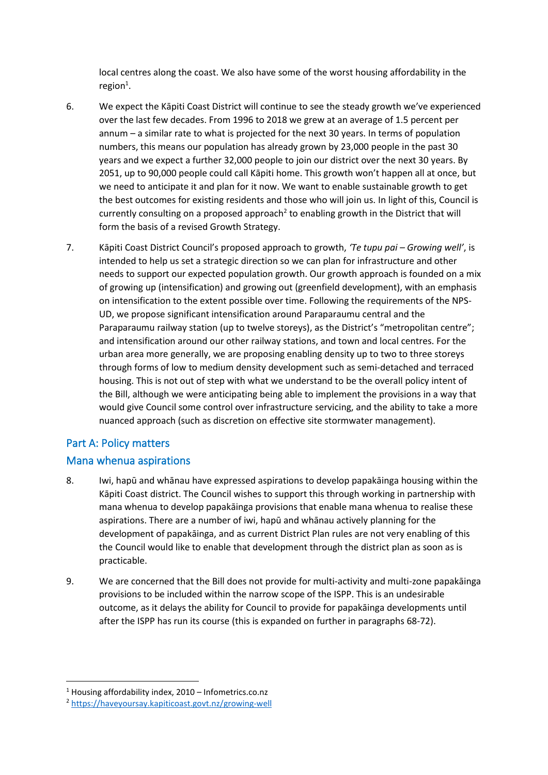local centres along the coast. We also have some of the worst housing affordability in the  $region<sup>1</sup>$ .

- 6. We expect the Kāpiti Coast District will continue to see the steady growth we've experienced over the last few decades. From 1996 to 2018 we grew at an average of 1.5 percent per annum – a similar rate to what is projected for the next 30 years. In terms of population numbers, this means our population has already grown by 23,000 people in the past 30 years and we expect a further 32,000 people to join our district over the next 30 years. By 2051, up to 90,000 people could call Kāpiti home. This growth won't happen all at once, but we need to anticipate it and plan for it now. We want to enable sustainable growth to get the best outcomes for existing residents and those who will join us. In light of this, Council is currently consulting on a proposed approach<sup>2</sup> to enabling growth in the District that will form the basis of a revised Growth Strategy.
- 7. Kāpiti Coast District Council's proposed approach to growth, *'Te tupu pai – Growing well'*, is intended to help us set a strategic direction so we can plan for infrastructure and other needs to support our expected population growth. Our growth approach is founded on a mix of growing up (intensification) and growing out (greenfield development), with an emphasis on intensification to the extent possible over time. Following the requirements of the NPS-UD, we propose significant intensification around Paraparaumu central and the Paraparaumu railway station (up to twelve storeys), as the District's "metropolitan centre"; and intensification around our other railway stations, and town and local centres. For the urban area more generally, we are proposing enabling density up to two to three storeys through forms of low to medium density development such as semi-detached and terraced housing. This is not out of step with what we understand to be the overall policy intent of the Bill, although we were anticipating being able to implement the provisions in a way that would give Council some control over infrastructure servicing, and the ability to take a more nuanced approach (such as discretion on effective site stormwater management).

# Part A: Policy matters

# Mana whenua aspirations

- 8. Iwi, hapū and whānau have expressed aspirations to develop papakāinga housing within the Kāpiti Coast district. The Council wishes to support this through working in partnership with mana whenua to develop papakāinga provisions that enable mana whenua to realise these aspirations. There are a number of iwi, hapū and whānau actively planning for the development of papakāinga, and as current District Plan rules are not very enabling of this the Council would like to enable that development through the district plan as soon as is practicable.
- 9. We are concerned that the Bill does not provide for multi-activity and multi-zone papakāinga provisions to be included within the narrow scope of the ISPP. This is an undesirable outcome, as it delays the ability for Council to provide for papakāinga developments until after the ISPP has run its course (this is expanded on further in paragraphs 68-72).

 $1$  Housing affordability index, 2010 – Infometrics.co.nz

<sup>2</sup> <https://haveyoursay.kapiticoast.govt.nz/growing-well>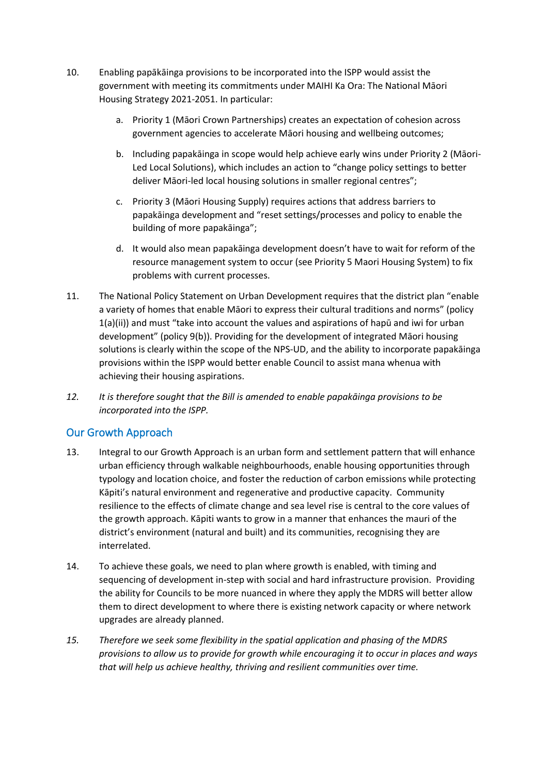- 10. Enabling papākāinga provisions to be incorporated into the ISPP would assist the government with meeting its commitments under MAIHI Ka Ora: The National Māori Housing Strategy 2021-2051. In particular:
	- a. Priority 1 (Māori Crown Partnerships) creates an expectation of cohesion across government agencies to accelerate Māori housing and wellbeing outcomes;
	- b. Including papakāinga in scope would help achieve early wins under Priority 2 (Māori-Led Local Solutions), which includes an action to "change policy settings to better deliver Māori-led local housing solutions in smaller regional centres";
	- c. Priority 3 (Māori Housing Supply) requires actions that address barriers to papakāinga development and "reset settings/processes and policy to enable the building of more papakāinga";
	- d. It would also mean papakāinga development doesn't have to wait for reform of the resource management system to occur (see Priority 5 Maori Housing System) to fix problems with current processes.
- 11. The National Policy Statement on Urban Development requires that the district plan "enable a variety of homes that enable Māori to express their cultural traditions and norms" (policy 1(a)(ii)) and must "take into account the values and aspirations of hapū and iwi for urban development" (policy 9(b)). Providing for the development of integrated Māori housing solutions is clearly within the scope of the NPS-UD, and the ability to incorporate papakāinga provisions within the ISPP would better enable Council to assist mana whenua with achieving their housing aspirations.
- *12. It is therefore sought that the Bill is amended to enable papakāinga provisions to be incorporated into the ISPP.*

# Our Growth Approach

- 13. Integral to our Growth Approach is an urban form and settlement pattern that will enhance urban efficiency through walkable neighbourhoods, enable housing opportunities through typology and location choice, and foster the reduction of carbon emissions while protecting Kāpiti's natural environment and regenerative and productive capacity. Community resilience to the effects of climate change and sea level rise is central to the core values of the growth approach. Kāpiti wants to grow in a manner that enhances the mauri of the district's environment (natural and built) and its communities, recognising they are interrelated.
- 14. To achieve these goals, we need to plan where growth is enabled, with timing and sequencing of development in-step with social and hard infrastructure provision. Providing the ability for Councils to be more nuanced in where they apply the MDRS will better allow them to direct development to where there is existing network capacity or where network upgrades are already planned.
- *15. Therefore we seek some flexibility in the spatial application and phasing of the MDRS provisions to allow us to provide for growth while encouraging it to occur in places and ways that will help us achieve healthy, thriving and resilient communities over time.*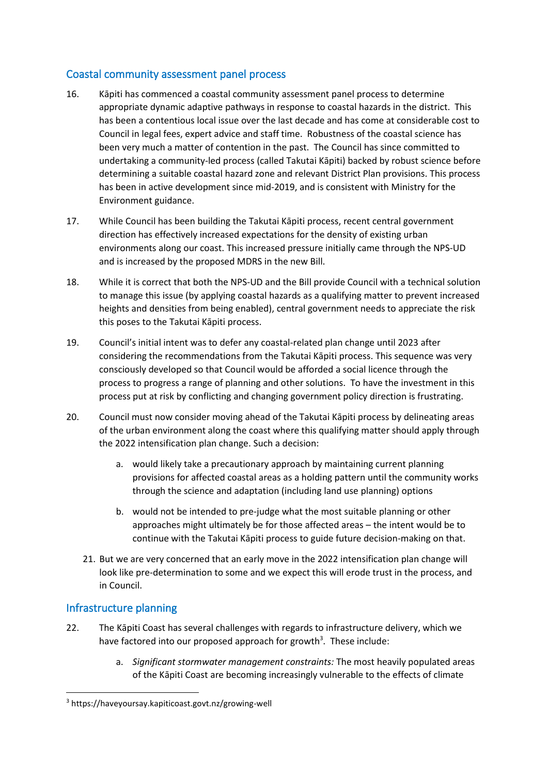# Coastal community assessment panel process

- 16. Kāpiti has commenced a coastal community assessment panel process to determine appropriate dynamic adaptive pathways in response to coastal hazards in the district. This has been a contentious local issue over the last decade and has come at considerable cost to Council in legal fees, expert advice and staff time. Robustness of the coastal science has been very much a matter of contention in the past. The Council has since committed to undertaking a community-led process (called Takutai Kāpiti) backed by robust science before determining a suitable coastal hazard zone and relevant District Plan provisions. This process has been in active development since mid-2019, and is consistent with Ministry for the Environment guidance.
- 17. While Council has been building the Takutai Kāpiti process, recent central government direction has effectively increased expectations for the density of existing urban environments along our coast. This increased pressure initially came through the NPS-UD and is increased by the proposed MDRS in the new Bill.
- 18. While it is correct that both the NPS-UD and the Bill provide Council with a technical solution to manage this issue (by applying coastal hazards as a qualifying matter to prevent increased heights and densities from being enabled), central government needs to appreciate the risk this poses to the Takutai Kāpiti process.
- 19. Council's initial intent was to defer any coastal-related plan change until 2023 after considering the recommendations from the Takutai Kāpiti process. This sequence was very consciously developed so that Council would be afforded a social licence through the process to progress a range of planning and other solutions. To have the investment in this process put at risk by conflicting and changing government policy direction is frustrating.
- 20. Council must now consider moving ahead of the Takutai Kāpiti process by delineating areas of the urban environment along the coast where this qualifying matter should apply through the 2022 intensification plan change. Such a decision:
	- a. would likely take a precautionary approach by maintaining current planning provisions for affected coastal areas as a holding pattern until the community works through the science and adaptation (including land use planning) options
	- b. would not be intended to pre-judge what the most suitable planning or other approaches might ultimately be for those affected areas – the intent would be to continue with the Takutai Kāpiti process to guide future decision-making on that.
	- 21. But we are very concerned that an early move in the 2022 intensification plan change will look like pre-determination to some and we expect this will erode trust in the process, and in Council.

# Infrastructure planning

- 22. The Kāpiti Coast has several challenges with regards to infrastructure delivery, which we have factored into our proposed approach for growth<sup>3</sup>. These include:
	- a. *Significant stormwater management constraints:* The most heavily populated areas of the Kāpiti Coast are becoming increasingly vulnerable to the effects of climate

<sup>3</sup> https://haveyoursay.kapiticoast.govt.nz/growing-well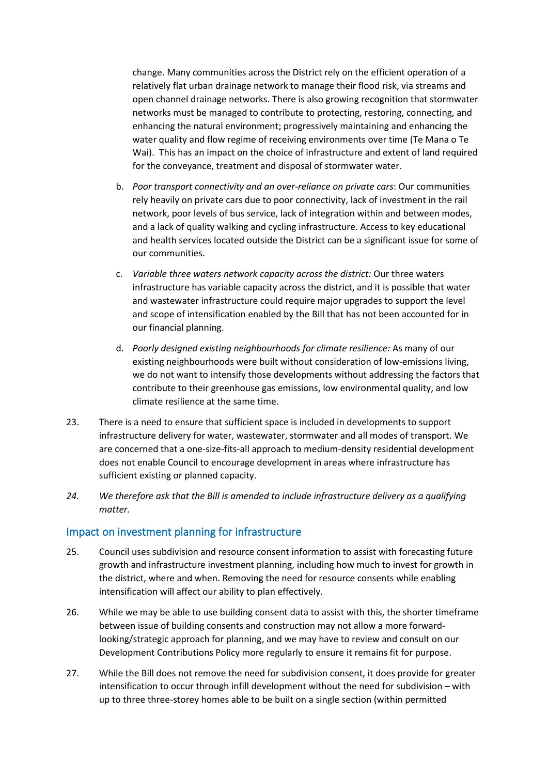change. Many communities across the District rely on the efficient operation of a relatively flat urban drainage network to manage their flood risk, via streams and open channel drainage networks. There is also growing recognition that stormwater networks must be managed to contribute to protecting, restoring, connecting, and enhancing the natural environment; progressively maintaining and enhancing the water quality and flow regime of receiving environments over time (Te Mana o Te Wai). This has an impact on the choice of infrastructure and extent of land required for the conveyance, treatment and disposal of stormwater water.

- b. *Poor transport connectivity and an over-reliance on private cars*: Our communities rely heavily on private cars due to poor connectivity, lack of investment in the rail network, poor levels of bus service, lack of integration within and between modes, and a lack of quality walking and cycling infrastructure. Access to key educational and health services located outside the District can be a significant issue for some of our communities.
- c. *Variable three waters network capacity across the district:* Our three waters infrastructure has variable capacity across the district, and it is possible that water and wastewater infrastructure could require major upgrades to support the level and scope of intensification enabled by the Bill that has not been accounted for in our financial planning.
- d. *Poorly designed existing neighbourhoods for climate resilience:* As many of our existing neighbourhoods were built without consideration of low-emissions living, we do not want to intensify those developments without addressing the factors that contribute to their greenhouse gas emissions, low environmental quality, and low climate resilience at the same time.
- 23. There is a need to ensure that sufficient space is included in developments to support infrastructure delivery for water, wastewater, stormwater and all modes of transport. We are concerned that a one-size-fits-all approach to medium-density residential development does not enable Council to encourage development in areas where infrastructure has sufficient existing or planned capacity.
- *24. We therefore ask that the Bill is amended to include infrastructure delivery as a qualifying matter.*

#### Impact on investment planning for infrastructure

- 25. Council uses subdivision and resource consent information to assist with forecasting future growth and infrastructure investment planning, including how much to invest for growth in the district, where and when. Removing the need for resource consents while enabling intensification will affect our ability to plan effectively.
- 26. While we may be able to use building consent data to assist with this, the shorter timeframe between issue of building consents and construction may not allow a more forwardlooking/strategic approach for planning, and we may have to review and consult on our Development Contributions Policy more regularly to ensure it remains fit for purpose.
- 27. While the Bill does not remove the need for subdivision consent, it does provide for greater intensification to occur through infill development without the need for subdivision – with up to three three-storey homes able to be built on a single section (within permitted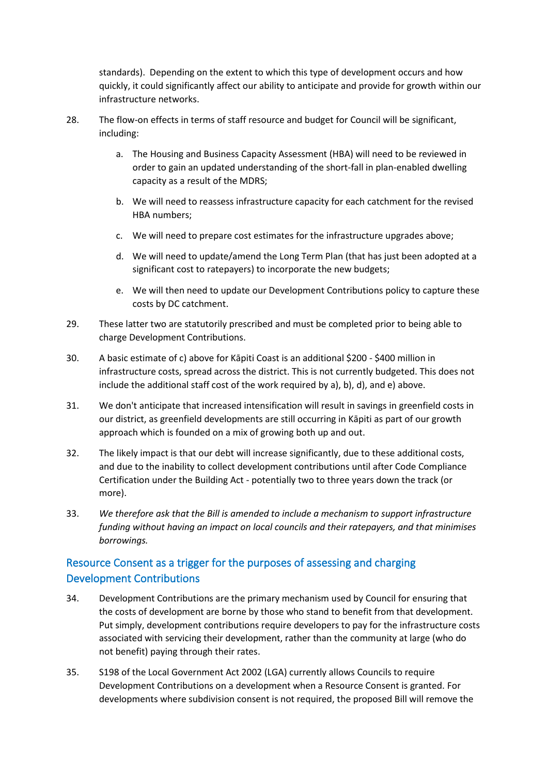standards). Depending on the extent to which this type of development occurs and how quickly, it could significantly affect our ability to anticipate and provide for growth within our infrastructure networks.

- 28. The flow-on effects in terms of staff resource and budget for Council will be significant, including:
	- a. The Housing and Business Capacity Assessment (HBA) will need to be reviewed in order to gain an updated understanding of the short-fall in plan-enabled dwelling capacity as a result of the MDRS;
	- b. We will need to reassess infrastructure capacity for each catchment for the revised HBA numbers;
	- c. We will need to prepare cost estimates for the infrastructure upgrades above;
	- d. We will need to update/amend the Long Term Plan (that has just been adopted at a significant cost to ratepayers) to incorporate the new budgets;
	- e. We will then need to update our Development Contributions policy to capture these costs by DC catchment.
- 29. These latter two are statutorily prescribed and must be completed prior to being able to charge Development Contributions.
- 30. A basic estimate of c) above for Kāpiti Coast is an additional \$200 \$400 million in infrastructure costs, spread across the district. This is not currently budgeted. This does not include the additional staff cost of the work required by a), b), d), and e) above.
- 31. We don't anticipate that increased intensification will result in savings in greenfield costs in our district, as greenfield developments are still occurring in Kāpiti as part of our growth approach which is founded on a mix of growing both up and out.
- 32. The likely impact is that our debt will increase significantly, due to these additional costs, and due to the inability to collect development contributions until after Code Compliance Certification under the Building Act - potentially two to three years down the track (or more).
- 33. *We therefore ask that the Bill is amended to include a mechanism to support infrastructure funding without having an impact on local councils and their ratepayers, and that minimises borrowings.*

# Resource Consent as a trigger for the purposes of assessing and charging Development Contributions

- 34. Development Contributions are the primary mechanism used by Council for ensuring that the costs of development are borne by those who stand to benefit from that development. Put simply, development contributions require developers to pay for the infrastructure costs associated with servicing their development, rather than the community at large (who do not benefit) paying through their rates.
- 35. S198 of the Local Government Act 2002 (LGA) currently allows Councils to require Development Contributions on a development when a Resource Consent is granted. For developments where subdivision consent is not required, the proposed Bill will remove the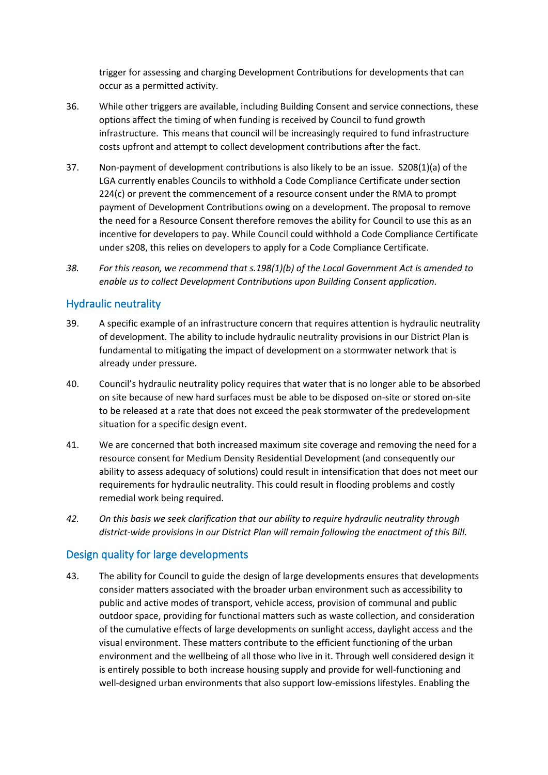trigger for assessing and charging Development Contributions for developments that can occur as a permitted activity.

- 36. While other triggers are available, including Building Consent and service connections, these options affect the timing of when funding is received by Council to fund growth infrastructure. This means that council will be increasingly required to fund infrastructure costs upfront and attempt to collect development contributions after the fact.
- 37. Non-payment of development contributions is also likely to be an issue. S208(1)(a) of the LGA currently enables Councils to withhold a Code Compliance Certificate under section 224(c) or prevent the commencement of a resource consent under the RMA to prompt payment of Development Contributions owing on a development. The proposal to remove the need for a Resource Consent therefore removes the ability for Council to use this as an incentive for developers to pay. While Council could withhold a Code Compliance Certificate under s208, this relies on developers to apply for a Code Compliance Certificate.
- *38. For this reason, we recommend that s.198(1)(b) of the Local Government Act is amended to enable us to collect Development Contributions upon Building Consent application.*

# Hydraulic neutrality

- 39. A specific example of an infrastructure concern that requires attention is hydraulic neutrality of development. The ability to include hydraulic neutrality provisions in our District Plan is fundamental to mitigating the impact of development on a stormwater network that is already under pressure.
- 40. Council's hydraulic neutrality policy requires that water that is no longer able to be absorbed on site because of new hard surfaces must be able to be disposed on-site or stored on-site to be released at a rate that does not exceed the peak stormwater of the predevelopment situation for a specific design event.
- 41. We are concerned that both increased maximum site coverage and removing the need for a resource consent for Medium Density Residential Development (and consequently our ability to assess adequacy of solutions) could result in intensification that does not meet our requirements for hydraulic neutrality. This could result in flooding problems and costly remedial work being required.
- *42. On this basis we seek clarification that our ability to require hydraulic neutrality through district-wide provisions in our District Plan will remain following the enactment of this Bill.*

# Design quality for large developments

43. The ability for Council to guide the design of large developments ensures that developments consider matters associated with the broader urban environment such as accessibility to public and active modes of transport, vehicle access, provision of communal and public outdoor space, providing for functional matters such as waste collection, and consideration of the cumulative effects of large developments on sunlight access, daylight access and the visual environment. These matters contribute to the efficient functioning of the urban environment and the wellbeing of all those who live in it. Through well considered design it is entirely possible to both increase housing supply and provide for well-functioning and well-designed urban environments that also support low-emissions lifestyles. Enabling the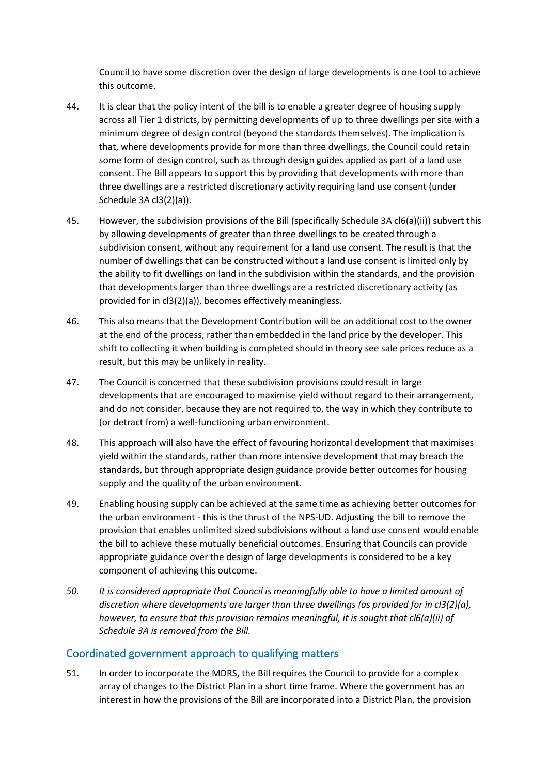Council to have some discretion over the design of large developments is one tool to achieve this outcome.

- 44. It is clear that the policy intent of the bill is to enable a greater degree of housing supply across all Tier 1 districts, by permitting developments of up to three dwellings per site with a minimum degree of design control (beyond the standards themselves). The implication is that, where developments provide for more than three dwellings, the Council could retain some form of design control, such as through design guides applied as part of a land use consent. The Bill appears to support this by providing that developments with more than three dwellings are a restricted discretionary activity requiring land use consent (under Schedule 3A cl3(2)(a)).
- 45. However, the subdivision provisions of the Bill (specifically Schedule 3A cl6(a)(ii)) subvert this by allowing developments of greater than three dwellings to be created through a subdivision consent, without any requirement for a land use consent. The result is that the number of dwellings that can be constructed without a land use consent is limited only by the ability to fit dwellings on land in the subdivision within the standards, and the provision that developments larger than three dwellings are a restricted discretionary activity (as provided for in cl3(2)(a)), becomes effectively meaningless.
- 46. This also means that the Development Contribution will be an additional cost to the owner at the end of the process, rather than embedded in the land price by the developer. This shift to collecting it when building is completed should in theory see sale prices reduce as a result, but this may be unlikely in reality.
- 47. The Council is concerned that these subdivision provisions could result in large developments that are encouraged to maximise yield without regard to their arrangement, and do not consider, because they are not required to, the way in which they contribute to (or detract from) a well-functioning urban environment.
- 48. This approach will also have the effect of favouring horizontal development that maximises yield within the standards, rather than more intensive development that may breach the standards, but through appropriate design guidance provide better outcomes for housing supply and the quality of the urban environment.
- 49. Enabling housing supply can be achieved at the same time as achieving better outcomes for the urban environment - this is the thrust of the NPS-UD. Adjusting the bill to remove the provision that enables unlimited sized subdivisions without a land use consent would enable the bill to achieve these mutually beneficial outcomes. Ensuring that Councils can provide appropriate guidance over the design of large developments is considered to be a key component of achieving this outcome.
- *50. It is considered appropriate that Council is meaningfully able to have a limited amount of discretion where developments are larger than three dwellings (as provided for in cl3(2)(a), however, to ensure that this provision remains meaningful, it is sought that cl6(a)(ii) of Schedule 3A is removed from the Bill.*

# Coordinated government approach to qualifying matters

51. In order to incorporate the MDRS, the Bill requires the Council to provide for a complex array of changes to the District Plan in a short time frame. Where the government has an interest in how the provisions of the Bill are incorporated into a District Plan, the provision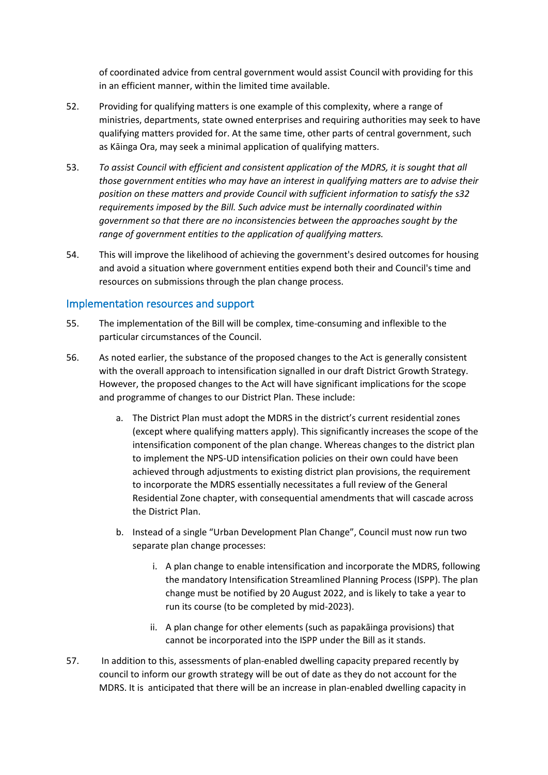of coordinated advice from central government would assist Council with providing for this in an efficient manner, within the limited time available.

- 52. Providing for qualifying matters is one example of this complexity, where a range of ministries, departments, state owned enterprises and requiring authorities may seek to have qualifying matters provided for. At the same time, other parts of central government, such as Kāinga Ora, may seek a minimal application of qualifying matters.
- 53. *To assist Council with efficient and consistent application of the MDRS, it is sought that all those government entities who may have an interest in qualifying matters are to advise their position on these matters and provide Council with sufficient information to satisfy the s32 requirements imposed by the Bill. Such advice must be internally coordinated within government so that there are no inconsistencies between the approaches sought by the range of government entities to the application of qualifying matters.*
- 54. This will improve the likelihood of achieving the government's desired outcomes for housing and avoid a situation where government entities expend both their and Council's time and resources on submissions through the plan change process.

### Implementation resources and support

- 55. The implementation of the Bill will be complex, time-consuming and inflexible to the particular circumstances of the Council.
- 56. As noted earlier, the substance of the proposed changes to the Act is generally consistent with the overall approach to intensification signalled in our draft District Growth Strategy. However, the proposed changes to the Act will have significant implications for the scope and programme of changes to our District Plan. These include:
	- a. The District Plan must adopt the MDRS in the district's current residential zones (except where qualifying matters apply). This significantly increases the scope of the intensification component of the plan change. Whereas changes to the district plan to implement the NPS-UD intensification policies on their own could have been achieved through adjustments to existing district plan provisions, the requirement to incorporate the MDRS essentially necessitates a full review of the General Residential Zone chapter, with consequential amendments that will cascade across the District Plan.
	- b. Instead of a single "Urban Development Plan Change", Council must now run two separate plan change processes:
		- i. A plan change to enable intensification and incorporate the MDRS, following the mandatory Intensification Streamlined Planning Process (ISPP). The plan change must be notified by 20 August 2022, and is likely to take a year to run its course (to be completed by mid-2023).
		- ii. A plan change for other elements (such as papakāinga provisions) that cannot be incorporated into the ISPP under the Bill as it stands.
- 57. In addition to this, assessments of plan-enabled dwelling capacity prepared recently by council to inform our growth strategy will be out of date as they do not account for the MDRS. It is anticipated that there will be an increase in plan-enabled dwelling capacity in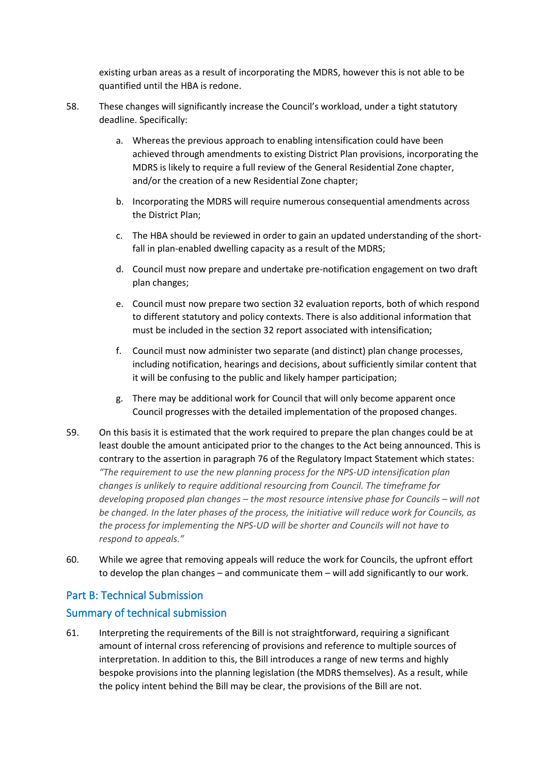existing urban areas as a result of incorporating the MDRS, however this is not able to be quantified until the HBA is redone.

- 58. These changes will significantly increase the Council's workload, under a tight statutory deadline. Specifically:
	- a. Whereas the previous approach to enabling intensification could have been achieved through amendments to existing District Plan provisions, incorporating the MDRS is likely to require a full review of the General Residential Zone chapter, and/or the creation of a new Residential Zone chapter;
	- b. Incorporating the MDRS will require numerous consequential amendments across the District Plan;
	- c. The HBA should be reviewed in order to gain an updated understanding of the shortfall in plan-enabled dwelling capacity as a result of the MDRS;
	- d. Council must now prepare and undertake pre-notification engagement on two draft plan changes;
	- e. Council must now prepare two section 32 evaluation reports, both of which respond to different statutory and policy contexts. There is also additional information that must be included in the section 32 report associated with intensification;
	- f. Council must now administer two separate (and distinct) plan change processes, including notification, hearings and decisions, about sufficiently similar content that it will be confusing to the public and likely hamper participation;
	- g. There may be additional work for Council that will only become apparent once Council progresses with the detailed implementation of the proposed changes.
- 59. On this basis it is estimated that the work required to prepare the plan changes could be at least double the amount anticipated prior to the changes to the Act being announced. This is contrary to the assertion in paragraph 76 of the Regulatory Impact Statement which states: *"The requirement to use the new planning process for the NPS-UD intensification plan changes is unlikely to require additional resourcing from Council. The timeframe for developing proposed plan changes – the most resource intensive phase for Councils – will not be changed. In the later phases of the process, the initiative will reduce work for Councils, as the process for implementing the NPS-UD will be shorter and Councils will not have to respond to appeals."*
- 60. While we agree that removing appeals will reduce the work for Councils, the upfront effort to develop the plan changes – and communicate them – will add significantly to our work.

# Part B: Technical Submission Summary of technical submission

61. Interpreting the requirements of the Bill is not straightforward, requiring a significant amount of internal cross referencing of provisions and reference to multiple sources of interpretation. In addition to this, the Bill introduces a range of new terms and highly bespoke provisions into the planning legislation (the MDRS themselves). As a result, while the policy intent behind the Bill may be clear, the provisions of the Bill are not.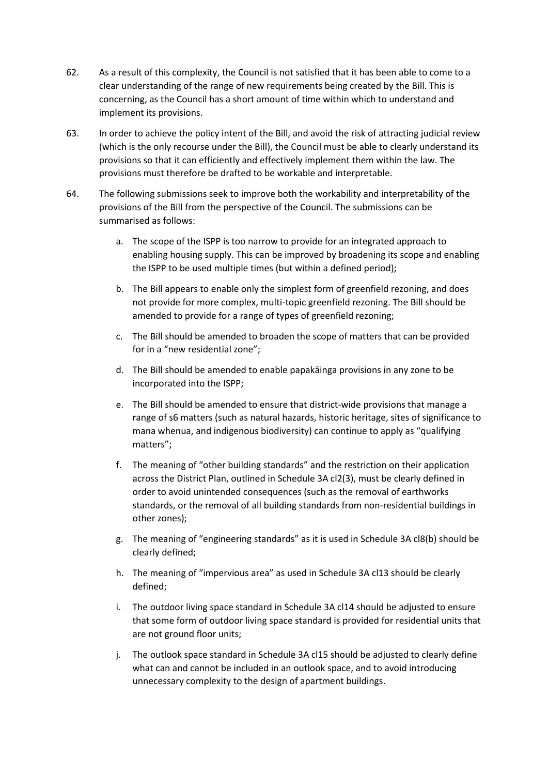- 62. As a result of this complexity, the Council is not satisfied that it has been able to come to a clear understanding of the range of new requirements being created by the Bill. This is concerning, as the Council has a short amount of time within which to understand and implement its provisions.
- 63. In order to achieve the policy intent of the Bill, and avoid the risk of attracting judicial review (which is the only recourse under the Bill), the Council must be able to clearly understand its provisions so that it can efficiently and effectively implement them within the law. The provisions must therefore be drafted to be workable and interpretable.
- 64. The following submissions seek to improve both the workability and interpretability of the provisions of the Bill from the perspective of the Council. The submissions can be summarised as follows:
	- a. The scope of the ISPP is too narrow to provide for an integrated approach to enabling housing supply. This can be improved by broadening its scope and enabling the ISPP to be used multiple times (but within a defined period);
	- b. The Bill appears to enable only the simplest form of greenfield rezoning, and does not provide for more complex, multi-topic greenfield rezoning. The Bill should be amended to provide for a range of types of greenfield rezoning;
	- c. The Bill should be amended to broaden the scope of matters that can be provided for in a "new residential zone";
	- d. The Bill should be amended to enable papakāinga provisions in any zone to be incorporated into the ISPP;
	- e. The Bill should be amended to ensure that district-wide provisions that manage a range of s6 matters (such as natural hazards, historic heritage, sites of significance to mana whenua, and indigenous biodiversity) can continue to apply as "qualifying matters";
	- f. The meaning of "other building standards" and the restriction on their application across the District Plan, outlined in Schedule 3A cl2(3), must be clearly defined in order to avoid unintended consequences (such as the removal of earthworks standards, or the removal of all building standards from non-residential buildings in other zones);
	- g. The meaning of "engineering standards" as it is used in Schedule 3A cl8(b) should be clearly defined;
	- h. The meaning of "impervious area" as used in Schedule 3A cl13 should be clearly defined;
	- i. The outdoor living space standard in Schedule 3A cl14 should be adjusted to ensure that some form of outdoor living space standard is provided for residential units that are not ground floor units;
	- j. The outlook space standard in Schedule 3A cl15 should be adjusted to clearly define what can and cannot be included in an outlook space, and to avoid introducing unnecessary complexity to the design of apartment buildings.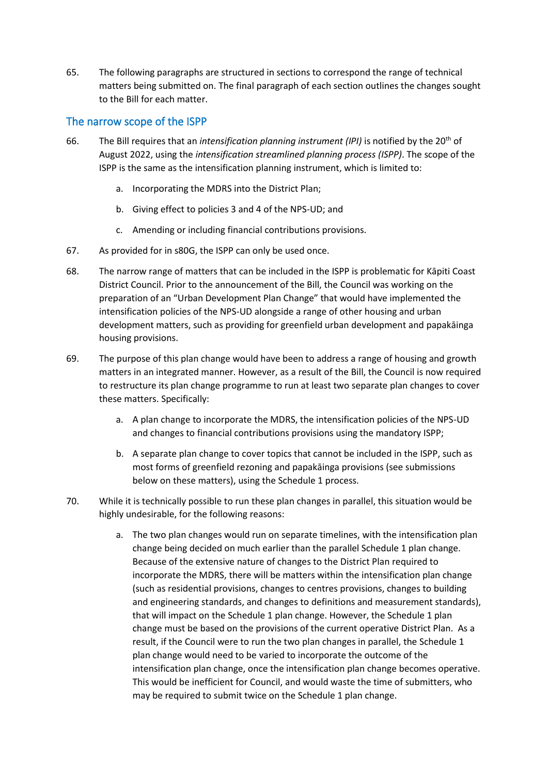65. The following paragraphs are structured in sections to correspond the range of technical matters being submitted on. The final paragraph of each section outlines the changes sought to the Bill for each matter.

### The narrow scope of the ISPP

- 66. The Bill requires that an *intensification planning instrument (IPI)* is notified by the 20th of August 2022, using the *intensification streamlined planning process (ISPP)*. The scope of the ISPP is the same as the intensification planning instrument, which is limited to:
	- a. Incorporating the MDRS into the District Plan;
	- b. Giving effect to policies 3 and 4 of the NPS-UD; and
	- c. Amending or including financial contributions provisions.
- 67. As provided for in s80G, the ISPP can only be used once.
- 68. The narrow range of matters that can be included in the ISPP is problematic for Kāpiti Coast District Council. Prior to the announcement of the Bill, the Council was working on the preparation of an "Urban Development Plan Change" that would have implemented the intensification policies of the NPS-UD alongside a range of other housing and urban development matters, such as providing for greenfield urban development and papakāinga housing provisions.
- 69. The purpose of this plan change would have been to address a range of housing and growth matters in an integrated manner. However, as a result of the Bill, the Council is now required to restructure its plan change programme to run at least two separate plan changes to cover these matters. Specifically:
	- a. A plan change to incorporate the MDRS, the intensification policies of the NPS-UD and changes to financial contributions provisions using the mandatory ISPP;
	- b. A separate plan change to cover topics that cannot be included in the ISPP, such as most forms of greenfield rezoning and papakāinga provisions (see submissions below on these matters), using the Schedule 1 process.
- 70. While it is technically possible to run these plan changes in parallel, this situation would be highly undesirable, for the following reasons:
	- a. The two plan changes would run on separate timelines, with the intensification plan change being decided on much earlier than the parallel Schedule 1 plan change. Because of the extensive nature of changes to the District Plan required to incorporate the MDRS, there will be matters within the intensification plan change (such as residential provisions, changes to centres provisions, changes to building and engineering standards, and changes to definitions and measurement standards), that will impact on the Schedule 1 plan change. However, the Schedule 1 plan change must be based on the provisions of the current operative District Plan. As a result, if the Council were to run the two plan changes in parallel, the Schedule 1 plan change would need to be varied to incorporate the outcome of the intensification plan change, once the intensification plan change becomes operative. This would be inefficient for Council, and would waste the time of submitters, who may be required to submit twice on the Schedule 1 plan change.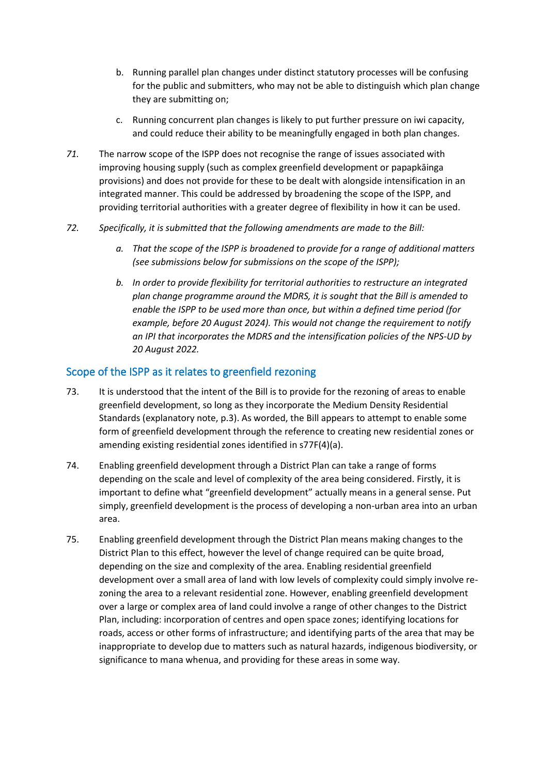- b. Running parallel plan changes under distinct statutory processes will be confusing for the public and submitters, who may not be able to distinguish which plan change they are submitting on;
- c. Running concurrent plan changes is likely to put further pressure on iwi capacity, and could reduce their ability to be meaningfully engaged in both plan changes.
- *71.* The narrow scope of the ISPP does not recognise the range of issues associated with improving housing supply (such as complex greenfield development or papapkāinga provisions) and does not provide for these to be dealt with alongside intensification in an integrated manner. This could be addressed by broadening the scope of the ISPP, and providing territorial authorities with a greater degree of flexibility in how it can be used.
- *72. Specifically, it is submitted that the following amendments are made to the Bill:*
	- *a. That the scope of the ISPP is broadened to provide for a range of additional matters (see submissions below for submissions on the scope of the ISPP);*
	- *b. In order to provide flexibility for territorial authorities to restructure an integrated plan change programme around the MDRS, it is sought that the Bill is amended to enable the ISPP to be used more than once, but within a defined time period (for example, before 20 August 2024). This would not change the requirement to notify an IPI that incorporates the MDRS and the intensification policies of the NPS-UD by 20 August 2022.*

# Scope of the ISPP as it relates to greenfield rezoning

- 73. It is understood that the intent of the Bill is to provide for the rezoning of areas to enable greenfield development, so long as they incorporate the Medium Density Residential Standards (explanatory note, p.3). As worded, the Bill appears to attempt to enable some form of greenfield development through the reference to creating new residential zones or amending existing residential zones identified in s77F(4)(a).
- 74. Enabling greenfield development through a District Plan can take a range of forms depending on the scale and level of complexity of the area being considered. Firstly, it is important to define what "greenfield development" actually means in a general sense. Put simply, greenfield development is the process of developing a non-urban area into an urban area.
- 75. Enabling greenfield development through the District Plan means making changes to the District Plan to this effect, however the level of change required can be quite broad, depending on the size and complexity of the area. Enabling residential greenfield development over a small area of land with low levels of complexity could simply involve rezoning the area to a relevant residential zone. However, enabling greenfield development over a large or complex area of land could involve a range of other changes to the District Plan, including: incorporation of centres and open space zones; identifying locations for roads, access or other forms of infrastructure; and identifying parts of the area that may be inappropriate to develop due to matters such as natural hazards, indigenous biodiversity, or significance to mana whenua, and providing for these areas in some way.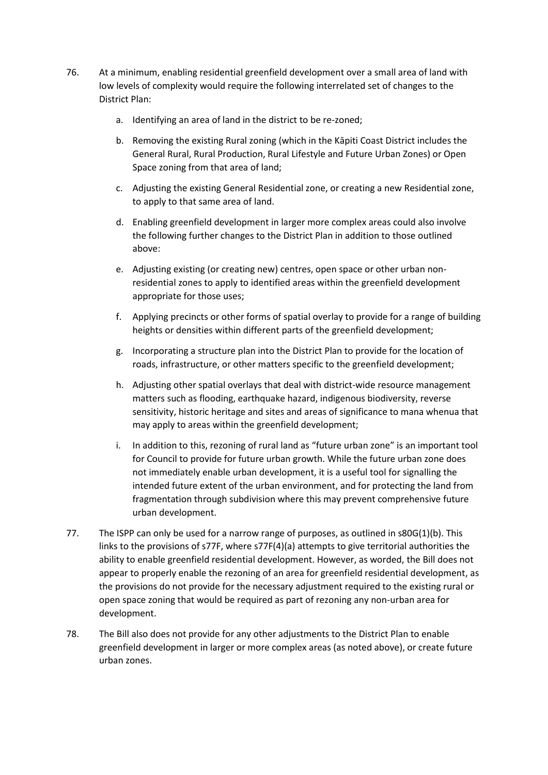- 76. At a minimum, enabling residential greenfield development over a small area of land with low levels of complexity would require the following interrelated set of changes to the District Plan:
	- a. Identifying an area of land in the district to be re-zoned;
	- b. Removing the existing Rural zoning (which in the Kāpiti Coast District includes the General Rural, Rural Production, Rural Lifestyle and Future Urban Zones) or Open Space zoning from that area of land;
	- c. Adjusting the existing General Residential zone, or creating a new Residential zone, to apply to that same area of land.
	- d. Enabling greenfield development in larger more complex areas could also involve the following further changes to the District Plan in addition to those outlined above:
	- e. Adjusting existing (or creating new) centres, open space or other urban nonresidential zones to apply to identified areas within the greenfield development appropriate for those uses;
	- f. Applying precincts or other forms of spatial overlay to provide for a range of building heights or densities within different parts of the greenfield development;
	- g. Incorporating a structure plan into the District Plan to provide for the location of roads, infrastructure, or other matters specific to the greenfield development;
	- h. Adjusting other spatial overlays that deal with district-wide resource management matters such as flooding, earthquake hazard, indigenous biodiversity, reverse sensitivity, historic heritage and sites and areas of significance to mana whenua that may apply to areas within the greenfield development;
	- i. In addition to this, rezoning of rural land as "future urban zone" is an important tool for Council to provide for future urban growth. While the future urban zone does not immediately enable urban development, it is a useful tool for signalling the intended future extent of the urban environment, and for protecting the land from fragmentation through subdivision where this may prevent comprehensive future urban development.
- 77. The ISPP can only be used for a narrow range of purposes, as outlined in s80G(1)(b). This links to the provisions of s77F, where s77F(4)(a) attempts to give territorial authorities the ability to enable greenfield residential development. However, as worded, the Bill does not appear to properly enable the rezoning of an area for greenfield residential development, as the provisions do not provide for the necessary adjustment required to the existing rural or open space zoning that would be required as part of rezoning any non-urban area for development.
- 78. The Bill also does not provide for any other adjustments to the District Plan to enable greenfield development in larger or more complex areas (as noted above), or create future urban zones.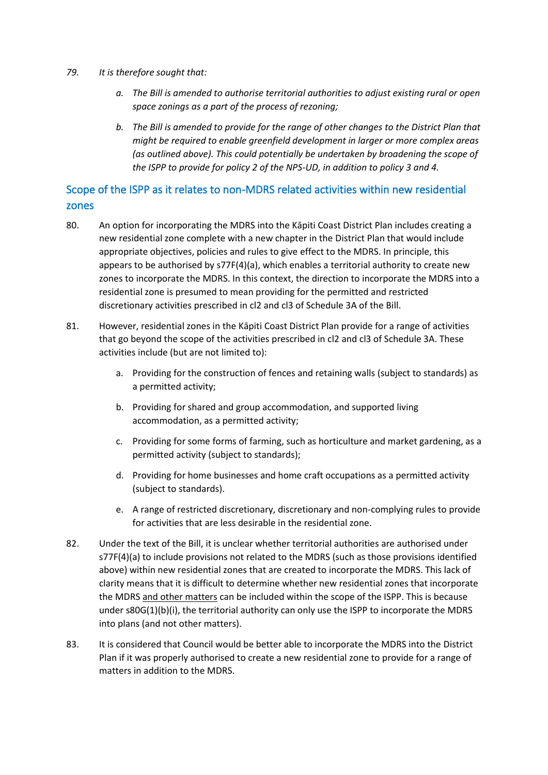- *79. It is therefore sought that:*
	- *a. The Bill is amended to authorise territorial authorities to adjust existing rural or open space zonings as a part of the process of rezoning;*
	- *b. The Bill is amended to provide for the range of other changes to the District Plan that might be required to enable greenfield development in larger or more complex areas (as outlined above). This could potentially be undertaken by broadening the scope of the ISPP to provide for policy 2 of the NPS-UD, in addition to policy 3 and 4.*

# Scope of the ISPP as it relates to non-MDRS related activities within new residential zones

- 80. An option for incorporating the MDRS into the Kāpiti Coast District Plan includes creating a new residential zone complete with a new chapter in the District Plan that would include appropriate objectives, policies and rules to give effect to the MDRS. In principle, this appears to be authorised by s77F(4)(a), which enables a territorial authority to create new zones to incorporate the MDRS. In this context, the direction to incorporate the MDRS into a residential zone is presumed to mean providing for the permitted and restricted discretionary activities prescribed in cl2 and cl3 of Schedule 3A of the Bill.
- 81. However, residential zones in the Kāpiti Coast District Plan provide for a range of activities that go beyond the scope of the activities prescribed in cl2 and cl3 of Schedule 3A. These activities include (but are not limited to):
	- a. Providing for the construction of fences and retaining walls (subject to standards) as a permitted activity;
	- b. Providing for shared and group accommodation, and supported living accommodation, as a permitted activity;
	- c. Providing for some forms of farming, such as horticulture and market gardening, as a permitted activity (subject to standards);
	- d. Providing for home businesses and home craft occupations as a permitted activity (subject to standards).
	- e. A range of restricted discretionary, discretionary and non-complying rules to provide for activities that are less desirable in the residential zone.
- 82. Under the text of the Bill, it is unclear whether territorial authorities are authorised under s77F(4)(a) to include provisions not related to the MDRS (such as those provisions identified above) within new residential zones that are created to incorporate the MDRS. This lack of clarity means that it is difficult to determine whether new residential zones that incorporate the MDRS and other matters can be included within the scope of the ISPP. This is because under s80G(1)(b)(i), the territorial authority can only use the ISPP to incorporate the MDRS into plans (and not other matters).
- 83. It is considered that Council would be better able to incorporate the MDRS into the District Plan if it was properly authorised to create a new residential zone to provide for a range of matters in addition to the MDRS.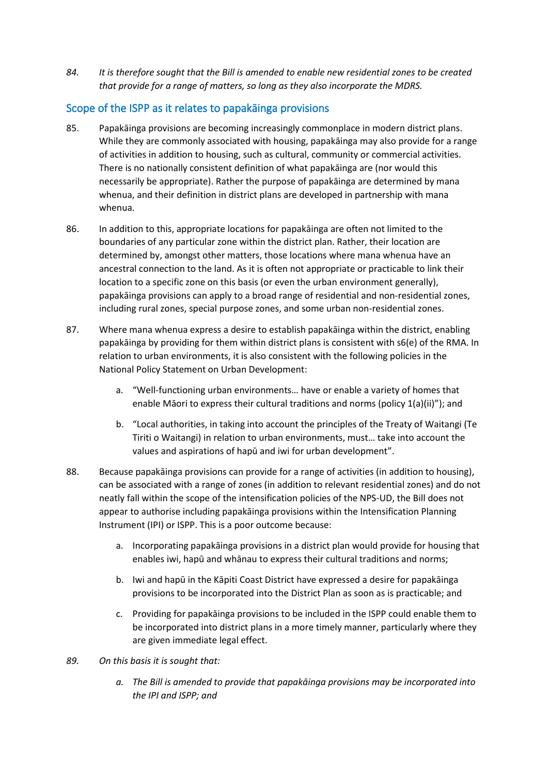*84. It is therefore sought that the Bill is amended to enable new residential zones to be created that provide for a range of matters, so long as they also incorporate the MDRS.*

# Scope of the ISPP as it relates to papakāinga provisions

- 85. Papakāinga provisions are becoming increasingly commonplace in modern district plans. While they are commonly associated with housing, papakāinga may also provide for a range of activities in addition to housing, such as cultural, community or commercial activities. There is no nationally consistent definition of what papakāinga are (nor would this necessarily be appropriate). Rather the purpose of papakāinga are determined by mana whenua, and their definition in district plans are developed in partnership with mana whenua.
- 86. In addition to this, appropriate locations for papakāinga are often not limited to the boundaries of any particular zone within the district plan. Rather, their location are determined by, amongst other matters, those locations where mana whenua have an ancestral connection to the land. As it is often not appropriate or practicable to link their location to a specific zone on this basis (or even the urban environment generally), papakāinga provisions can apply to a broad range of residential and non-residential zones, including rural zones, special purpose zones, and some urban non-residential zones.
- 87. Where mana whenua express a desire to establish papakāinga within the district, enabling papakāinga by providing for them within district plans is consistent with s6(e) of the RMA. In relation to urban environments, it is also consistent with the following policies in the National Policy Statement on Urban Development:
	- a. "Well-functioning urban environments… have or enable a variety of homes that enable Māori to express their cultural traditions and norms (policy 1(a)(ii)"); and
	- b. "Local authorities, in taking into account the principles of the Treaty of Waitangi (Te Tiriti o Waitangi) in relation to urban environments, must… take into account the values and aspirations of hapū and iwi for urban development".
- 88. Because papakāinga provisions can provide for a range of activities (in addition to housing), can be associated with a range of zones (in addition to relevant residential zones) and do not neatly fall within the scope of the intensification policies of the NPS-UD, the Bill does not appear to authorise including papakāinga provisions within the Intensification Planning Instrument (IPI) or ISPP. This is a poor outcome because:
	- a. Incorporating papakāinga provisions in a district plan would provide for housing that enables iwi, hapū and whānau to express their cultural traditions and norms;
	- b. Iwi and hapū in the Kāpiti Coast District have expressed a desire for papakāinga provisions to be incorporated into the District Plan as soon as is practicable; and
	- c. Providing for papakāinga provisions to be included in the ISPP could enable them to be incorporated into district plans in a more timely manner, particularly where they are given immediate legal effect.
- *89. On this basis it is sought that:*
	- *a. The Bill is amended to provide that papakāinga provisions may be incorporated into the IPI and ISPP; and*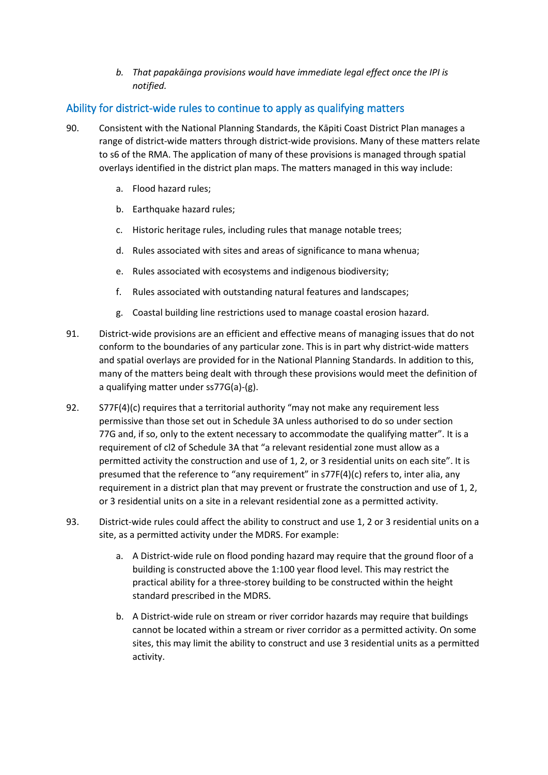*b. That papakāinga provisions would have immediate legal effect once the IPI is notified.*

# Ability for district-wide rules to continue to apply as qualifying matters

- 90. Consistent with the National Planning Standards, the Kāpiti Coast District Plan manages a range of district-wide matters through district-wide provisions. Many of these matters relate to s6 of the RMA. The application of many of these provisions is managed through spatial overlays identified in the district plan maps. The matters managed in this way include:
	- a. Flood hazard rules;
	- b. Earthquake hazard rules;
	- c. Historic heritage rules, including rules that manage notable trees;
	- d. Rules associated with sites and areas of significance to mana whenua;
	- e. Rules associated with ecosystems and indigenous biodiversity;
	- f. Rules associated with outstanding natural features and landscapes;
	- g. Coastal building line restrictions used to manage coastal erosion hazard.
- 91. District-wide provisions are an efficient and effective means of managing issues that do not conform to the boundaries of any particular zone. This is in part why district-wide matters and spatial overlays are provided for in the National Planning Standards. In addition to this, many of the matters being dealt with through these provisions would meet the definition of a qualifying matter under ss77G(a)-(g).
- 92. S77F(4)(c) requires that a territorial authority "may not make any requirement less permissive than those set out in Schedule 3A unless authorised to do so under section 77G and, if so, only to the extent necessary to accommodate the qualifying matter". It is a requirement of cl2 of Schedule 3A that "a relevant residential zone must allow as a permitted activity the construction and use of 1, 2, or 3 residential units on each site". It is presumed that the reference to "any requirement" in s77F(4)(c) refers to, inter alia, any requirement in a district plan that may prevent or frustrate the construction and use of 1, 2, or 3 residential units on a site in a relevant residential zone as a permitted activity.
- 93. District-wide rules could affect the ability to construct and use 1, 2 or 3 residential units on a site, as a permitted activity under the MDRS. For example:
	- a. A District-wide rule on flood ponding hazard may require that the ground floor of a building is constructed above the 1:100 year flood level. This may restrict the practical ability for a three-storey building to be constructed within the height standard prescribed in the MDRS.
	- b. A District-wide rule on stream or river corridor hazards may require that buildings cannot be located within a stream or river corridor as a permitted activity. On some sites, this may limit the ability to construct and use 3 residential units as a permitted activity.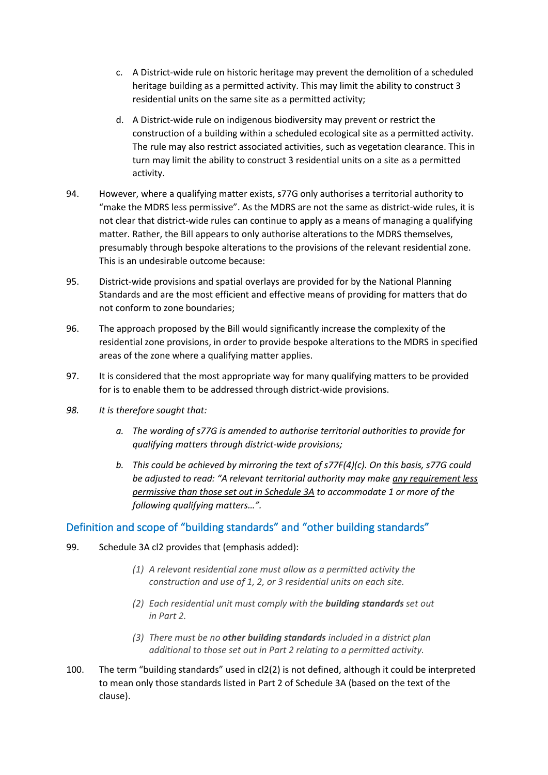- c. A District-wide rule on historic heritage may prevent the demolition of a scheduled heritage building as a permitted activity. This may limit the ability to construct 3 residential units on the same site as a permitted activity;
- d. A District-wide rule on indigenous biodiversity may prevent or restrict the construction of a building within a scheduled ecological site as a permitted activity. The rule may also restrict associated activities, such as vegetation clearance. This in turn may limit the ability to construct 3 residential units on a site as a permitted activity.
- 94. However, where a qualifying matter exists, s77G only authorises a territorial authority to "make the MDRS less permissive". As the MDRS are not the same as district-wide rules, it is not clear that district-wide rules can continue to apply as a means of managing a qualifying matter. Rather, the Bill appears to only authorise alterations to the MDRS themselves, presumably through bespoke alterations to the provisions of the relevant residential zone. This is an undesirable outcome because:
- 95. District-wide provisions and spatial overlays are provided for by the National Planning Standards and are the most efficient and effective means of providing for matters that do not conform to zone boundaries;
- 96. The approach proposed by the Bill would significantly increase the complexity of the residential zone provisions, in order to provide bespoke alterations to the MDRS in specified areas of the zone where a qualifying matter applies.
- 97. It is considered that the most appropriate way for many qualifying matters to be provided for is to enable them to be addressed through district-wide provisions.
- *98. It is therefore sought that:*
	- *a. The wording of s77G is amended to authorise territorial authorities to provide for qualifying matters through district-wide provisions;*
	- *b. This could be achieved by mirroring the text of s77F(4)(c). On this basis, s77G could be adjusted to read: "A relevant territorial authority may make any requirement less permissive than those set out in Schedule 3A to accommodate 1 or more of the following qualifying matters…".*

# Definition and scope of "building standards" and "other building standards"

- 99. Schedule 3A cl2 provides that (emphasis added):
	- *(1) A relevant residential zone must allow as a permitted activity the construction and use of 1, 2, or 3 residential units on each site.*
	- *(2) Each residential unit must comply with the building standards set out in Part 2.*
	- *(3) There must be no other building standards included in a district plan additional to those set out in Part 2 relating to a permitted activity.*
- 100. The term "building standards" used in cl2(2) is not defined, although it could be interpreted to mean only those standards listed in Part 2 of Schedule 3A (based on the text of the clause).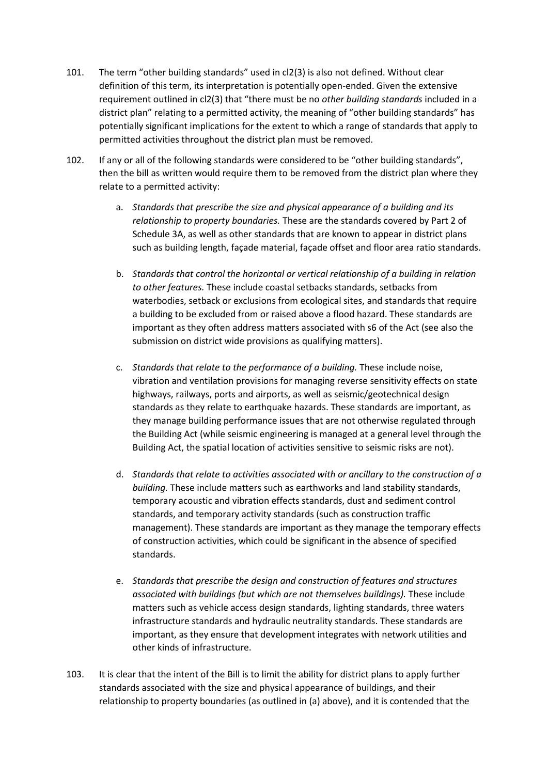- 101. The term "other building standards" used in cl2(3) is also not defined. Without clear definition of this term, its interpretation is potentially open-ended. Given the extensive requirement outlined in cl2(3) that "there must be no *other building standards* included in a district plan" relating to a permitted activity, the meaning of "other building standards" has potentially significant implications for the extent to which a range of standards that apply to permitted activities throughout the district plan must be removed.
- 102. If any or all of the following standards were considered to be "other building standards", then the bill as written would require them to be removed from the district plan where they relate to a permitted activity:
	- a. *Standards that prescribe the size and physical appearance of a building and its relationship to property boundaries.* These are the standards covered by Part 2 of Schedule 3A, as well as other standards that are known to appear in district plans such as building length, façade material, façade offset and floor area ratio standards.
	- b. *Standards that control the horizontal or vertical relationship of a building in relation to other features.* These include coastal setbacks standards, setbacks from waterbodies, setback or exclusions from ecological sites, and standards that require a building to be excluded from or raised above a flood hazard. These standards are important as they often address matters associated with s6 of the Act (see also the submission on district wide provisions as qualifying matters).
	- c. *Standards that relate to the performance of a building.* These include noise, vibration and ventilation provisions for managing reverse sensitivity effects on state highways, railways, ports and airports, as well as seismic/geotechnical design standards as they relate to earthquake hazards. These standards are important, as they manage building performance issues that are not otherwise regulated through the Building Act (while seismic engineering is managed at a general level through the Building Act, the spatial location of activities sensitive to seismic risks are not).
	- d. *Standards that relate to activities associated with or ancillary to the construction of a building.* These include matters such as earthworks and land stability standards, temporary acoustic and vibration effects standards, dust and sediment control standards, and temporary activity standards (such as construction traffic management). These standards are important as they manage the temporary effects of construction activities, which could be significant in the absence of specified standards.
	- e. *Standards that prescribe the design and construction of features and structures associated with buildings (but which are not themselves buildings).* These include matters such as vehicle access design standards, lighting standards, three waters infrastructure standards and hydraulic neutrality standards. These standards are important, as they ensure that development integrates with network utilities and other kinds of infrastructure.
- 103. It is clear that the intent of the Bill is to limit the ability for district plans to apply further standards associated with the size and physical appearance of buildings, and their relationship to property boundaries (as outlined in (a) above), and it is contended that the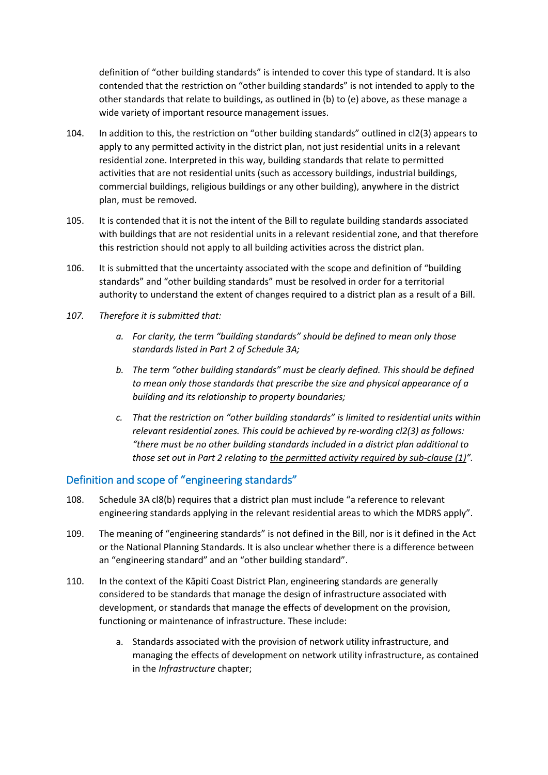definition of "other building standards" is intended to cover this type of standard. It is also contended that the restriction on "other building standards" is not intended to apply to the other standards that relate to buildings, as outlined in (b) to (e) above, as these manage a wide variety of important resource management issues.

- 104. In addition to this, the restriction on "other building standards" outlined in cl2(3) appears to apply to any permitted activity in the district plan, not just residential units in a relevant residential zone. Interpreted in this way, building standards that relate to permitted activities that are not residential units (such as accessory buildings, industrial buildings, commercial buildings, religious buildings or any other building), anywhere in the district plan, must be removed.
- 105. It is contended that it is not the intent of the Bill to regulate building standards associated with buildings that are not residential units in a relevant residential zone, and that therefore this restriction should not apply to all building activities across the district plan.
- 106. It is submitted that the uncertainty associated with the scope and definition of "building standards" and "other building standards" must be resolved in order for a territorial authority to understand the extent of changes required to a district plan as a result of a Bill.
- *107. Therefore it is submitted that:*
	- *a. For clarity, the term "building standards" should be defined to mean only those standards listed in Part 2 of Schedule 3A;*
	- *b. The term "other building standards" must be clearly defined. This should be defined to mean only those standards that prescribe the size and physical appearance of a building and its relationship to property boundaries;*
	- *c. That the restriction on "other building standards" is limited to residential units within relevant residential zones. This could be achieved by re-wording cl2(3) as follows: "there must be no other building standards included in a district plan additional to those set out in Part 2 relating to the permitted activity required by sub-clause (1)".*

# Definition and scope of "engineering standards"

- 108. Schedule 3A cl8(b) requires that a district plan must include "a reference to relevant engineering standards applying in the relevant residential areas to which the MDRS apply".
- 109. The meaning of "engineering standards" is not defined in the Bill, nor is it defined in the Act or the National Planning Standards. It is also unclear whether there is a difference between an "engineering standard" and an "other building standard".
- 110. In the context of the Kāpiti Coast District Plan, engineering standards are generally considered to be standards that manage the design of infrastructure associated with development, or standards that manage the effects of development on the provision, functioning or maintenance of infrastructure. These include:
	- a. Standards associated with the provision of network utility infrastructure, and managing the effects of development on network utility infrastructure, as contained in the *Infrastructure* chapter;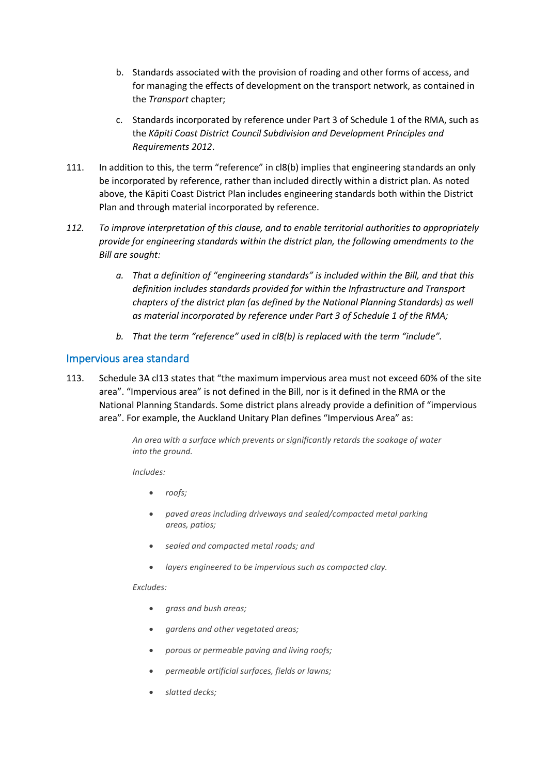- b. Standards associated with the provision of roading and other forms of access, and for managing the effects of development on the transport network, as contained in the *Transport* chapter;
- c. Standards incorporated by reference under Part 3 of Schedule 1 of the RMA, such as the *Kāpiti Coast District Council Subdivision and Development Principles and Requirements 2012*.
- 111. In addition to this, the term "reference" in cl8(b) implies that engineering standards an only be incorporated by reference, rather than included directly within a district plan. As noted above, the Kāpiti Coast District Plan includes engineering standards both within the District Plan and through material incorporated by reference.
- *112. To improve interpretation of this clause, and to enable territorial authorities to appropriately provide for engineering standards within the district plan, the following amendments to the Bill are sought:*
	- *a. That a definition of "engineering standards" is included within the Bill, and that this definition includes standards provided for within the Infrastructure and Transport chapters of the district plan (as defined by the National Planning Standards) as well as material incorporated by reference under Part 3 of Schedule 1 of the RMA;*
	- *b. That the term "reference" used in cl8(b) is replaced with the term "include".*

#### Impervious area standard

113. Schedule 3A cl13 states that "the maximum impervious area must not exceed 60% of the site area". "Impervious area" is not defined in the Bill, nor is it defined in the RMA or the National Planning Standards. Some district plans already provide a definition of "impervious area". For example, the Auckland Unitary Plan defines "Impervious Area" as:

> *An area with a surface which prevents or significantly retards the soakage of water into the ground.*

*Includes:*

- *roofs;*
- *paved areas including driveways and sealed/compacted metal parking areas, patios;*
- *sealed and compacted metal roads; and*
- *layers engineered to be impervious such as compacted clay.*

#### *Excludes:*

- *grass and bush areas;*
- *gardens and other vegetated areas;*
- *porous or permeable paving and living roofs;*
- *permeable artificial surfaces, fields or lawns;*
- *slatted decks;*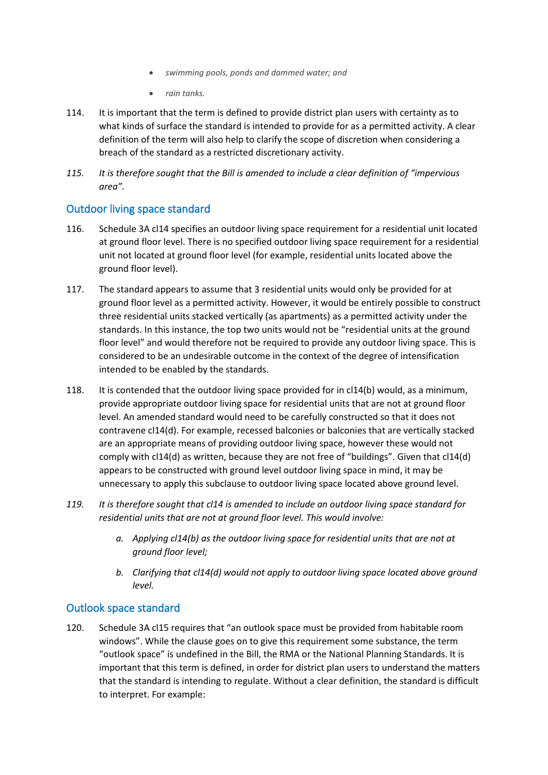- *swimming pools, ponds and dammed water; and*
- *rain tanks.*
- 114. It is important that the term is defined to provide district plan users with certainty as to what kinds of surface the standard is intended to provide for as a permitted activity. A clear definition of the term will also help to clarify the scope of discretion when considering a breach of the standard as a restricted discretionary activity.
- *115. It is therefore sought that the Bill is amended to include a clear definition of "impervious area".*

# Outdoor living space standard

- 116. Schedule 3A cl14 specifies an outdoor living space requirement for a residential unit located at ground floor level. There is no specified outdoor living space requirement for a residential unit not located at ground floor level (for example, residential units located above the ground floor level).
- 117. The standard appears to assume that 3 residential units would only be provided for at ground floor level as a permitted activity. However, it would be entirely possible to construct three residential units stacked vertically (as apartments) as a permitted activity under the standards. In this instance, the top two units would not be "residential units at the ground floor level" and would therefore not be required to provide any outdoor living space. This is considered to be an undesirable outcome in the context of the degree of intensification intended to be enabled by the standards.
- 118. It is contended that the outdoor living space provided for in cl14(b) would, as a minimum, provide appropriate outdoor living space for residential units that are not at ground floor level. An amended standard would need to be carefully constructed so that it does not contravene cl14(d). For example, recessed balconies or balconies that are vertically stacked are an appropriate means of providing outdoor living space, however these would not comply with cl14(d) as written, because they are not free of "buildings". Given that cl14(d) appears to be constructed with ground level outdoor living space in mind, it may be unnecessary to apply this subclause to outdoor living space located above ground level.
- *119. It is therefore sought that cl14 is amended to include an outdoor living space standard for residential units that are not at ground floor level. This would involve:*
	- *a. Applying cl14(b) as the outdoor living space for residential units that are not at ground floor level;*
	- *b. Clarifying that cl14(d) would not apply to outdoor living space located above ground level.*

# Outlook space standard

120. Schedule 3A cl15 requires that "an outlook space must be provided from habitable room windows". While the clause goes on to give this requirement some substance, the term "outlook space" is undefined in the Bill, the RMA or the National Planning Standards. It is important that this term is defined, in order for district plan users to understand the matters that the standard is intending to regulate. Without a clear definition, the standard is difficult to interpret. For example: